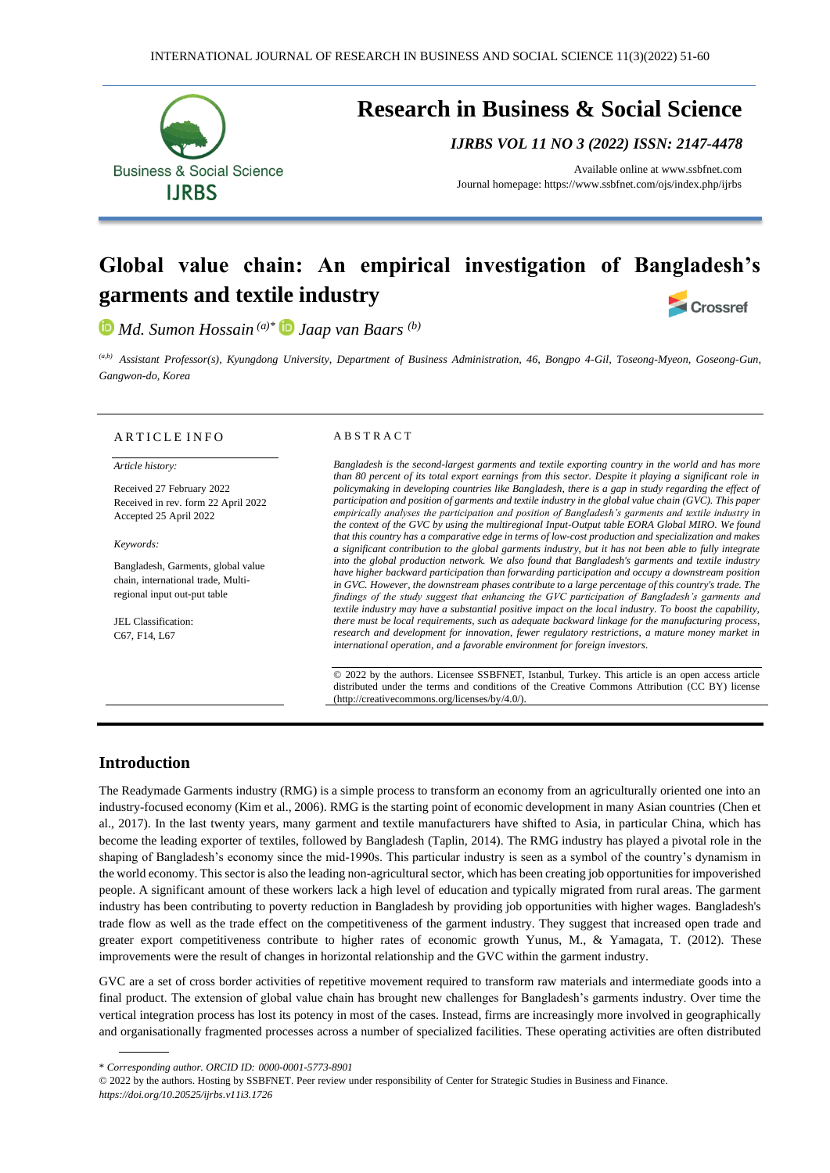

# **Research in Business & Social Science**

*IJRBS VOL 11 NO 3 (2022) ISSN: 2147-4478*

Available online at [www.ssbfnet.com](http://www.ssbfnet.com/) Journal homepage: https://www.ssbfnet.com/ojs/index.php/ijrbs

# **Global value chain: An empirical investigation of Bangladesh's garments and textile industry Crossref**

*Md. Sumon Hossain (a)\* Jaap van Baars (b)*

*(a,b) Assistant Professor(s), Kyungdong University, Department of Business Administration, 46, Bongpo 4-Gil, Toseong-Myeon, Goseong-Gun, Gangwon-do, Korea*

#### ARTICLE INFO

*Article history:* 

Received 27 February 2022 Received in rev. form 22 April 2022 Accepted 25 April 2022

*Keywords:*

Bangladesh, Garments, global value chain, international trade, Multiregional input out-put table

JEL Classification: C67, F14, L67

#### A B S T R A C T

*Bangladesh is the second-largest garments and textile exporting country in the world and has more than 80 percent of its total export earnings from this sector. Despite it playing a significant role in policymaking in developing countries like Bangladesh, there is a gap in study regarding the effect of participation and position of garments and textile industry in the global value chain (GVC). This paper empirically analyses the participation and position of Bangladesh's garments and textile industry in the context of the GVC by using the multiregional Input-Output table EORA Global MIRO. We found that this country has a comparative edge in terms of low-cost production and specialization and makes a significant contribution to the global garments industry, but it has not been able to fully integrate into the global production network. We also found that Bangladesh's garments and textile industry have higher backward participation than forwarding participation and occupy a downstream position in GVC. However, the downstream phases contribute to a large percentage of this country's trade. The findings of the study suggest that enhancing the GVC participation of Bangladesh's garments and textile industry may have a substantial positive impact on the local industry. To boost the capability, there must be local requirements, such as adequate backward linkage for the manufacturing process, research and development for innovation, fewer regulatory restrictions, a mature money market in international operation, and a favorable environment for foreign investors.*

© 2022 by the authors. Licensee SSBFNET, Istanbul, Turkey. This article is an open access article distributed under the terms and conditions of the Creative Commons Attribution (CC BY) license (http://creativecommons.org/licenses/by/4.0/).

# **Introduction**

The Readymade Garments industry (RMG) is a simple process to transform an economy from an agriculturally oriented one into an industry-focused economy (Kim et al., 2006). RMG is the starting point of economic development in many Asian countries (Chen et al., 2017). In the last twenty years, many garment and textile manufacturers have shifted to Asia, in particular China, which has become the leading exporter of textiles, followed by Bangladesh (Taplin, 2014). The RMG industry has played a pivotal role in the shaping of Bangladesh's economy since the mid-1990s. This particular industry is seen as a symbol of the country's dynamism in the world economy. This sector is also the leading non-agricultural sector, which has been creating job opportunities for impoverished people. A significant amount of these workers lack a high level of education and typically migrated from rural areas. The garment industry has been contributing to poverty reduction in Bangladesh by providing job opportunities with higher wages. Bangladesh's trade flow as well as the trade effect on the competitiveness of the garment industry. They suggest that increased open trade and greater export competitiveness contribute to higher rates of economic growth Yunus, M., & Yamagata, T. (2012). These improvements were the result of changes in horizontal relationship and the GVC within the garment industry.

GVC are a set of cross border activities of repetitive movement required to transform raw materials and intermediate goods into a final product. The extension of global value chain has brought new challenges for Bangladesh's garments industry. Over time the vertical integration process has lost its potency in most of the cases. Instead, firms are increasingly more involved in geographically and organisationally fragmented processes across a number of specialized facilities. These operating activities are often distributed

\* *Corresponding author. ORCID ID: 0000-0001-5773-8901*

© 2022 by the authors. Hosting by SSBFNET. Peer review under responsibility of Center for Strategic Studies in Business and Finance. *<https://doi.org/10.20525/ijrbs.v11i3.1726>*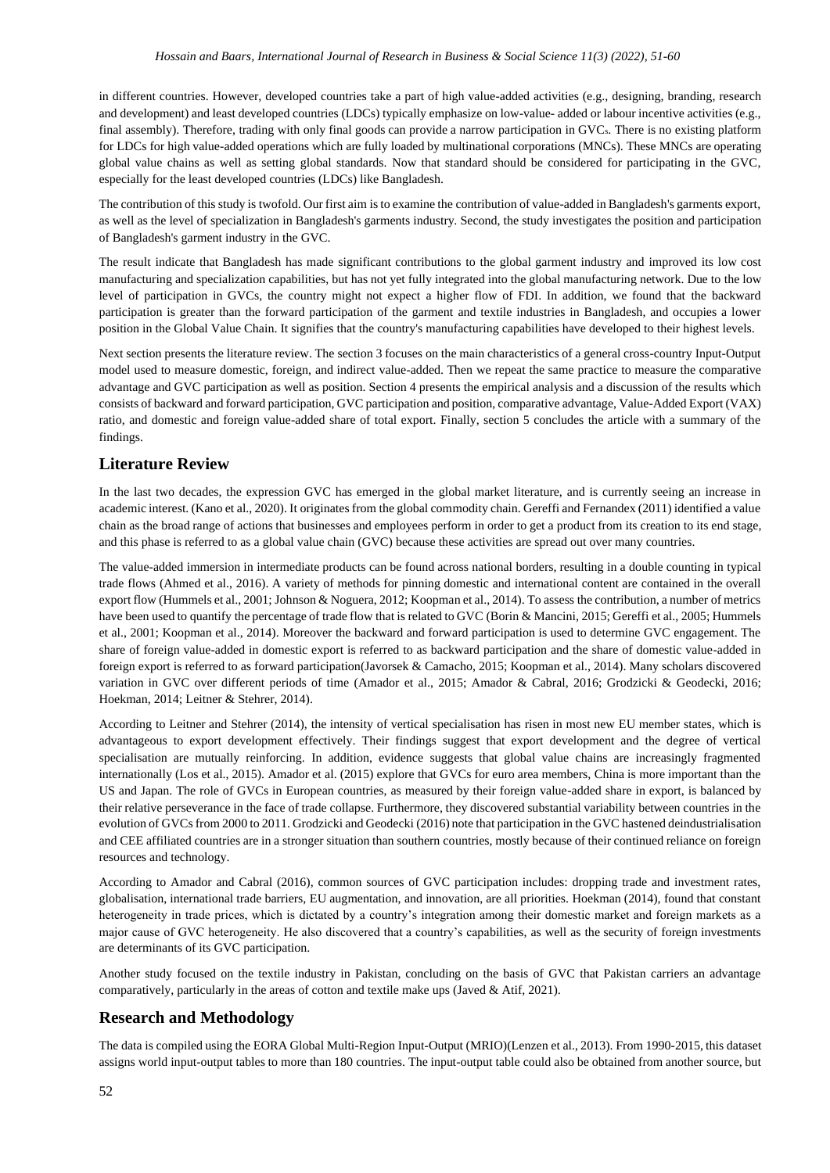in different countries. However, developed countries take a part of high value-added activities (e.g., designing, branding, research and development) and least developed countries (LDCs) typically emphasize on low-value- added or labour incentive activities (e.g., final assembly). Therefore, trading with only final goods can provide a narrow participation in GVCs. There is no existing platform for LDCs for high value-added operations which are fully loaded by multinational corporations (MNCs). These MNCs are operating global value chains as well as setting global standards. Now that standard should be considered for participating in the GVC, especially for the least developed countries (LDCs) like Bangladesh.

The contribution of this study is twofold. Our first aim is to examine the contribution of value-added in Bangladesh's garments export, as well as the level of specialization in Bangladesh's garments industry. Second, the study investigates the position and participation of Bangladesh's garment industry in the GVC.

The result indicate that Bangladesh has made significant contributions to the global garment industry and improved its low cost manufacturing and specialization capabilities, but has not yet fully integrated into the global manufacturing network. Due to the low level of participation in GVCs, the country might not expect a higher flow of FDI. In addition, we found that the backward participation is greater than the forward participation of the garment and textile industries in Bangladesh, and occupies a lower position in the Global Value Chain. It signifies that the country's manufacturing capabilities have developed to their highest levels.

Next section presents the literature review. The section 3 focuses on the main characteristics of a general cross-country Input-Output model used to measure domestic, foreign, and indirect value-added. Then we repeat the same practice to measure the comparative advantage and GVC participation as well as position. Section 4 presents the empirical analysis and a discussion of the results which consists of backward and forward participation, GVC participation and position, comparative advantage, Value-Added Export (VAX) ratio, and domestic and foreign value-added share of total export. Finally, section 5 concludes the article with a summary of the findings.

# **Literature Review**

In the last two decades, the expression GVC has emerged in the global market literature, and is currently seeing an increase in academic interest. (Kano et al., 2020). It originates from the global commodity chain. Gereffi and Fernandex (2011) identified a value chain as the broad range of actions that businesses and employees perform in order to get a product from its creation to its end stage, and this phase is referred to as a global value chain (GVC) because these activities are spread out over many countries.

The value-added immersion in intermediate products can be found across national borders, resulting in a double counting in typical trade flows (Ahmed et al., 2016). A variety of methods for pinning domestic and international content are contained in the overall export flow (Hummels et al., 2001; Johnson & Noguera, 2012; Koopman et al., 2014). To assess the contribution, a number of metrics have been used to quantify the percentage of trade flow that is related to GVC (Borin & Mancini, 2015; Gereffi et al., 2005; Hummels et al., 2001; Koopman et al., 2014). Moreover the backward and forward participation is used to determine GVC engagement. The share of foreign value-added in domestic export is referred to as backward participation and the share of domestic value-added in foreign export is referred to as forward participation(Javorsek & Camacho, 2015; Koopman et al., 2014). Many scholars discovered variation in GVC over different periods of time (Amador et al., 2015; Amador & Cabral, 2016; Grodzicki & Geodecki, 2016; Hoekman, 2014; Leitner & Stehrer, 2014).

According to Leitner and Stehrer (2014), the intensity of vertical specialisation has risen in most new EU member states, which is advantageous to export development effectively. Their findings suggest that export development and the degree of vertical specialisation are mutually reinforcing. In addition, evidence suggests that global value chains are increasingly fragmented internationally (Los et al., 2015). Amador et al. (2015) explore that GVCs for euro area members, China is more important than the US and Japan. The role of GVCs in European countries, as measured by their foreign value-added share in export, is balanced by their relative perseverance in the face of trade collapse. Furthermore, they discovered substantial variability between countries in the evolution of GVCs from 2000 to 2011. Grodzicki and Geodecki (2016) note that participation in the GVC hastened deindustrialisation and CEE affiliated countries are in a stronger situation than southern countries, mostly because of their continued reliance on foreign resources and technology.

According to Amador and Cabral (2016), common sources of GVC participation includes: dropping trade and investment rates, globalisation, international trade barriers, EU augmentation, and innovation, are all priorities. Hoekman (2014), found that constant heterogeneity in trade prices, which is dictated by a country's integration among their domestic market and foreign markets as a major cause of GVC heterogeneity. He also discovered that a country's capabilities, as well as the security of foreign investments are determinants of its GVC participation.

Another study focused on the textile industry in Pakistan, concluding on the basis of GVC that Pakistan carriers an advantage comparatively, particularly in the areas of cotton and textile make ups (Javed & Atif, 2021).

# **Research and Methodology**

The data is compiled using the EORA Global Multi-Region Input-Output (MRIO)(Lenzen et al., 2013). From 1990-2015, this dataset assigns world input-output tables to more than 180 countries. The input-output table could also be obtained from another source, but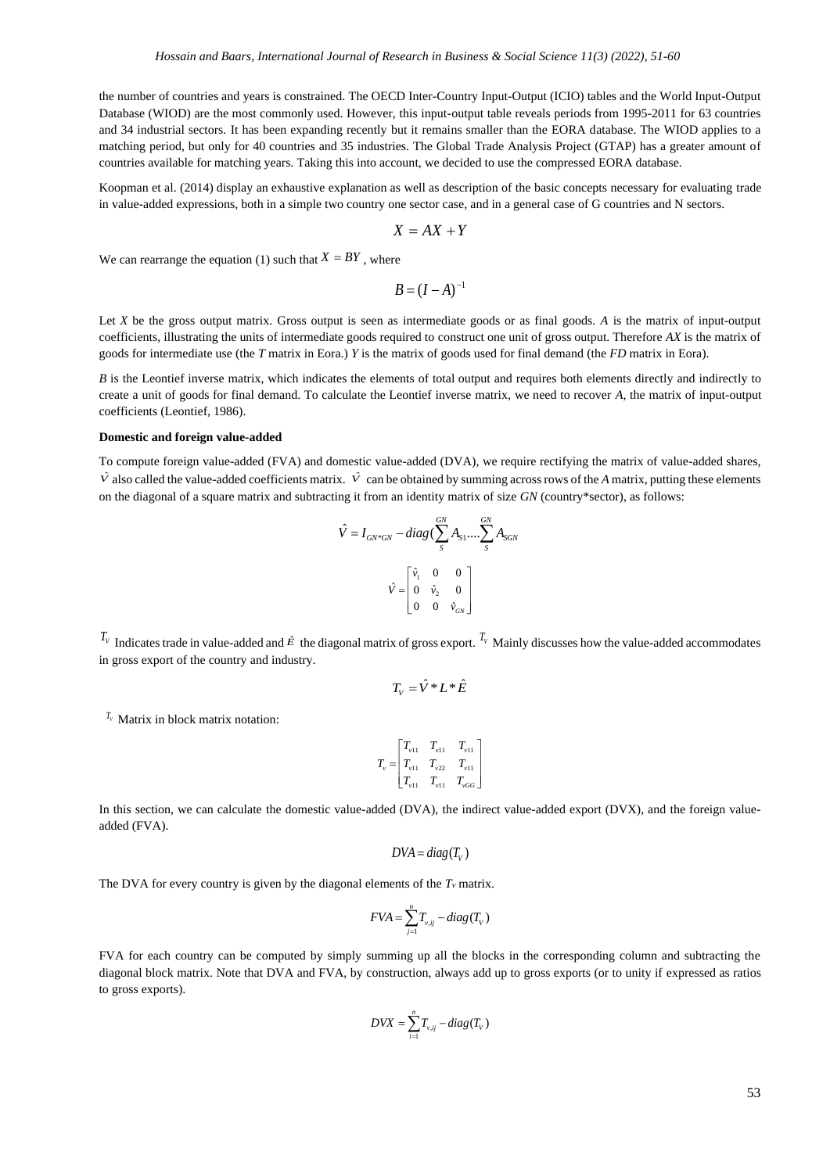the number of countries and years is constrained. The OECD Inter-Country Input-Output (ICIO) tables and the World Input-Output Database (WIOD) are the most commonly used. However, this input-output table reveals periods from 1995-2011 for 63 countries and 34 industrial sectors. It has been expanding recently but it remains smaller than the EORA database. The WIOD applies to a matching period, but only for 40 countries and 35 industries. The Global Trade Analysis Project (GTAP) has a greater amount of countries available for matching years. Taking this into account, we decided to use the compressed EORA database.

Koopman et al. (2014) display an exhaustive explanation as well as description of the basic concepts necessary for evaluating trade in value-added expressions, both in a simple two country one sector case, and in a general case of G countries and N sectors.

$$
X = AX + Y
$$

We can rearrange the equation (1) such that  $X = BY$ , where

$$
B = (I - A)^{-1}
$$

Let *X* be the gross output matrix. Gross output is seen as intermediate goods or as final goods. A is the matrix of input-output coefficients, illustrating the units of intermediate goods required to construct one unit of gross output. Therefore *AX* is the matrix of goods for intermediate use (the *T* matrix in Eora.) *Y* is the matrix of goods used for final demand (the *FD* matrix in Eora).

*B* is the Leontief inverse matrix, which indicates the elements of total output and requires both elements directly and indirectly to create a unit of goods for final demand. To calculate the Leontief inverse matrix, we need to recover *A*, the matrix of input-output coefficients (Leontief, 1986).

#### **Domestic and foreign value-added**

To compute foreign value-added (FVA) and domestic value-added (DVA), we require rectifying the matrix of value-added shares,  $\hat{V}$  also called the value-added coefficients matrix.  $\hat{V}$  can be obtained by summing across rows of the *A* matrix, putting these elements on the diagonal of a square matrix and subtracting it from an identity matrix of size *GN* (country\*sector), as follows:

$$
\hat{V} = I_{GN^*GN} - diag(\sum_{s}^{GN} A_{s1}....\sum_{s}^{GN} A_{SGN})
$$

$$
\hat{V} = \begin{bmatrix} \hat{v}_1 & 0 & 0 \\ 0 & \hat{v}_2 & 0 \\ 0 & 0 & \hat{v}_{GN} \end{bmatrix}
$$

 $T_v$  Indicates trade in value-added and  $\hat{E}$  the diagonal matrix of gross export.  $T_v$  Mainly discusses how the value-added accommodates in gross export of the country and industry.

$$
T_{V} = \hat{V} * L * \hat{E}
$$

 $V_V$  Matrix in block matrix notation:

$$
T_{\nu} = \begin{bmatrix} T_{\nu 11} & T_{\nu 11} & T_{\nu 11} \\ T_{\nu 11} & T_{\nu 22} & T_{\nu 11} \\ T_{\nu 11} & T_{\nu 11} & T_{\nu G} \end{bmatrix}
$$

In this section, we can calculate the domestic value-added (DVA), the indirect value-added export (DVX), and the foreign valueadded (FVA).

$$
DVA = diag(T_V)
$$

The DVA for every country is given by the diagonal elements of the  $T_\nu$  matrix.

$$
FVA = \sum_{j=1}^{n} T_{v,ij} - diag(T_v)
$$

FVA for each country can be computed by simply summing up all the blocks in the corresponding column and subtracting the diagonal block matrix. Note that DVA and FVA, by construction, always add up to gross exports (or to unity if expressed as ratios to gross exports).

$$
DVX = \sum_{i=1}^{n} T_{v,ij} - diag(T_v)
$$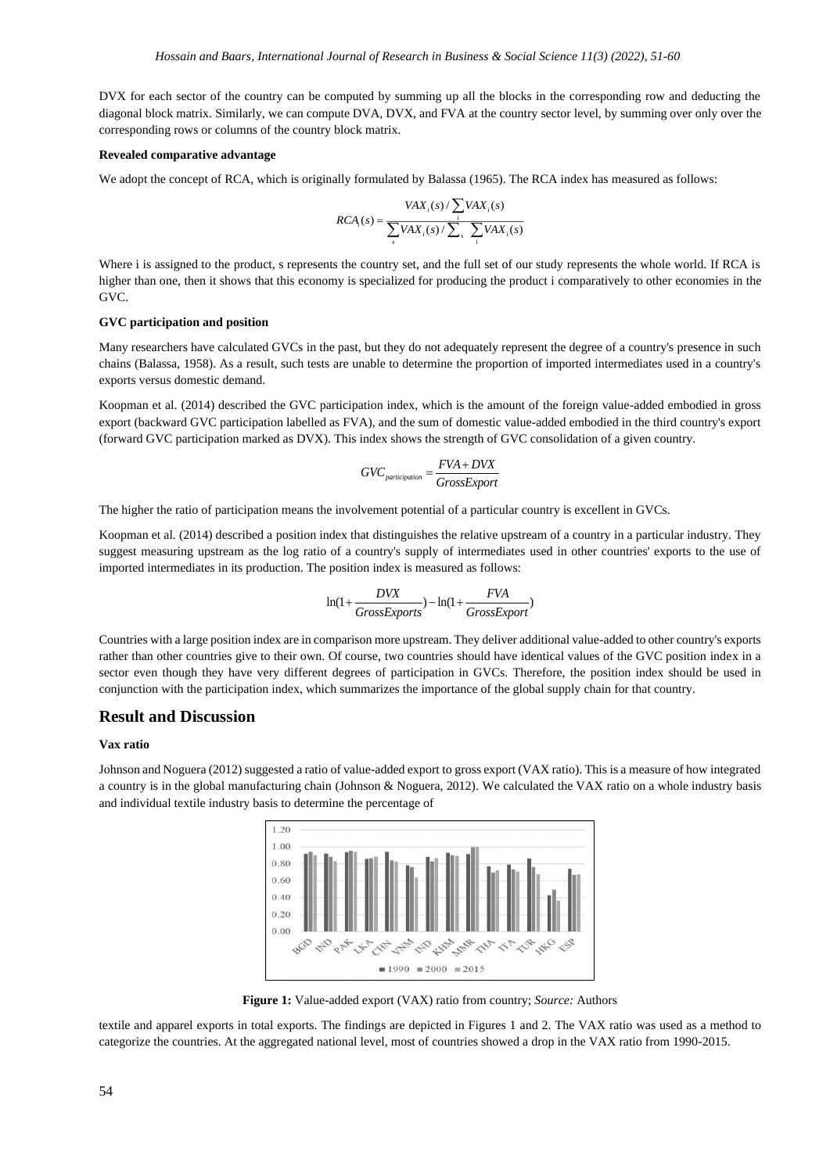DVX for each sector of the country can be computed by summing up all the blocks in the corresponding row and deducting the diagonal block matrix. Similarly, we can compute DVA, DVX, and FVA at the country sector level, by summing over only over the corresponding rows or columns of the country block matrix.

#### **Revealed comparative advantage**

We adopt the concept of RCA, which is originally formulated by Balassa (1965). The RCA index has measured as follows:

$$
RCA_i(s) = \frac{VAX_i(s) / \sum_i VAX_i(s)}{\sum_s VAX_i(s) / \sum_s \sum_i VAX_i(s)}
$$

Where i is assigned to the product, s represents the country set, and the full set of our study represents the whole world. If RCA is higher than one, then it shows that this economy is specialized for producing the product i comparatively to other economies in the GVC.

#### **GVC participation and position**

Many researchers have calculated GVCs in the past, but they do not adequately represent the degree of a country's presence in such chains (Balassa, 1958). As a result, such tests are unable to determine the proportion of imported intermediates used in a country's exports versus domestic demand.

Koopman et al. (2014) described the GVC participation index, which is the amount of the foreign value-added embodied in gross export (backward GVC participation labelled as FVA), and the sum of domestic value-added embodied in the third country's export (forward GVC participation marked as DVX). This index shows the strength of GVC consolidation of a given country.

$$
GVC_{\textit{participation}} = \frac{FVA + DVX}{GrossExport}
$$

The higher the ratio of participation means the involvement potential of a particular country is excellent in GVCs.

Koopman et al. (2014) described a position index that distinguishes the relative upstream of a country in a particular industry. They suggest measuring upstream as the log ratio of a country's supply of intermediates used in other countries' exports to the use of imported intermediates in its production. The position index is measured as follows:

$$
\ln(1+\frac{D V X}{GrossExpress} ) - \ln(1+\frac{F V A}{Gross Expert})
$$

Countries with a large position index are in comparison more upstream. They deliver additional value-added to other country's exports rather than other countries give to their own. Of course, two countries should have identical values of the GVC position index in a sector even though they have very different degrees of participation in GVCs. Therefore, the position index should be used in conjunction with the participation index, which summarizes the importance of the global supply chain for that country.

# **Result and Discussion**

#### **Vax ratio**

Johnson and Noguera (2012) suggested a ratio of value-added export to gross export (VAX ratio). This is a measure of how integrated a country is in the global manufacturing chain (Johnson & Noguera, 2012). We calculated the VAX ratio on a whole industry basis and individual textile industry basis to determine the percentage of



**Figure 1:** Value-added export (VAX) ratio from country; *Source:* Authors

textile and apparel exports in total exports. The findings are depicted in Figures 1 and 2. The VAX ratio was used as a method to categorize the countries. At the aggregated national level, most of countries showed a drop in the VAX ratio from 1990-2015.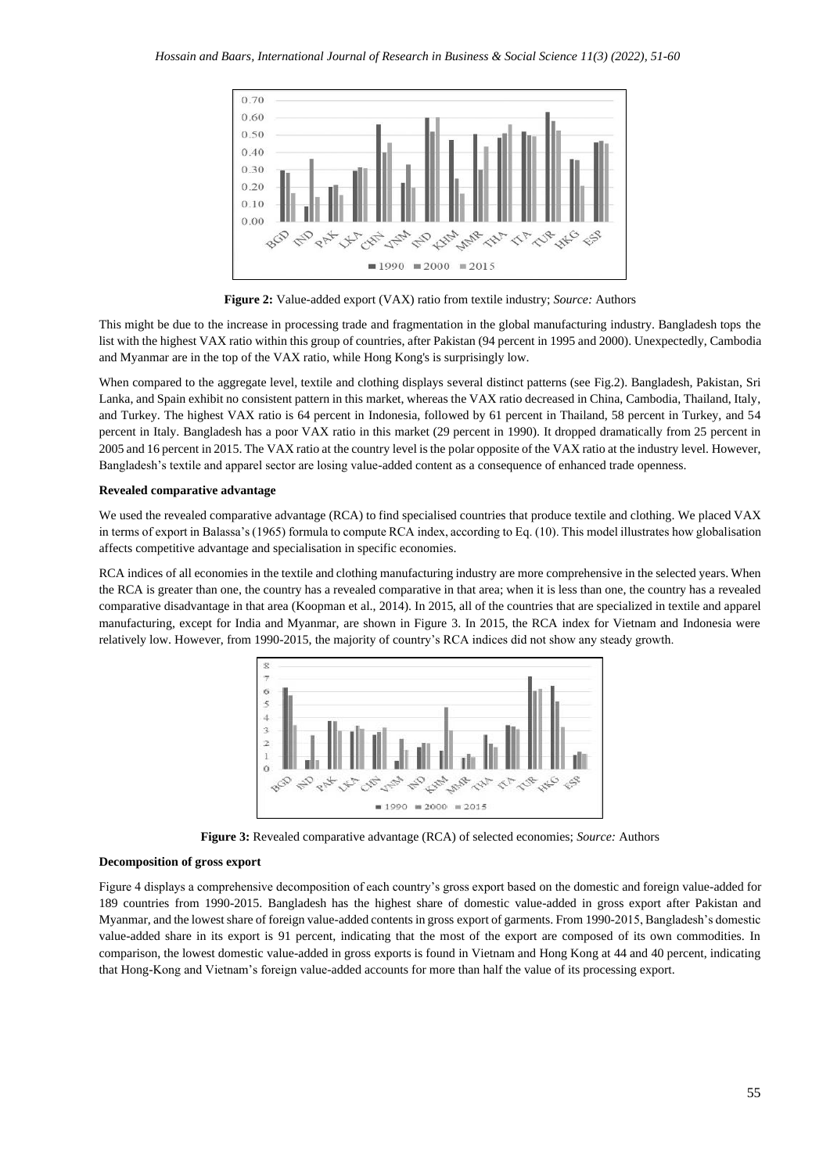

**Figure 2:** Value-added export (VAX) ratio from textile industry; *Source:* Authors

This might be due to the increase in processing trade and fragmentation in the global manufacturing industry. Bangladesh tops the list with the highest VAX ratio within this group of countries, after Pakistan (94 percent in 1995 and 2000). Unexpectedly, Cambodia and Myanmar are in the top of the VAX ratio, while Hong Kong's is surprisingly low.

When compared to the aggregate level, textile and clothing displays several distinct patterns (see Fig.2). Bangladesh, Pakistan, Sri Lanka, and Spain exhibit no consistent pattern in this market, whereas the VAX ratio decreased in China, Cambodia, Thailand, Italy, and Turkey. The highest VAX ratio is 64 percent in Indonesia, followed by 61 percent in Thailand, 58 percent in Turkey, and 54 percent in Italy. Bangladesh has a poor VAX ratio in this market (29 percent in 1990). It dropped dramatically from 25 percent in 2005 and 16 percent in 2015. The VAX ratio at the country level is the polar opposite of the VAX ratio at the industry level. However, Bangladesh's textile and apparel sector are losing value-added content as a consequence of enhanced trade openness.

#### **Revealed comparative advantage**

We used the revealed comparative advantage (RCA) to find specialised countries that produce textile and clothing. We placed VAX in terms of export in Balassa's (1965) formula to compute RCA index, according to Eq. (10). This model illustrates how globalisation affects competitive advantage and specialisation in specific economies.

RCA indices of all economies in the textile and clothing manufacturing industry are more comprehensive in the selected years. When the RCA is greater than one, the country has a revealed comparative in that area; when it is less than one, the country has a revealed comparative disadvantage in that area (Koopman et al., 2014). In 2015, all of the countries that are specialized in textile and apparel manufacturing, except for India and Myanmar, are shown in Figure 3. In 2015, the RCA index for Vietnam and Indonesia were relatively low. However, from 1990-2015, the majority of country's RCA indices did not show any steady growth.



**Figure 3:** Revealed comparative advantage (RCA) of selected economies; *Source:* Authors

### **Decomposition of gross export**

Figure 4 displays a comprehensive decomposition of each country's gross export based on the domestic and foreign value-added for 189 countries from 1990-2015. Bangladesh has the highest share of domestic value-added in gross export after Pakistan and Myanmar, and the lowest share of foreign value-added contents in gross export of garments. From 1990-2015, Bangladesh's domestic value-added share in its export is 91 percent, indicating that the most of the export are composed of its own commodities. In comparison, the lowest domestic value-added in gross exports is found in Vietnam and Hong Kong at 44 and 40 percent, indicating that Hong-Kong and Vietnam's foreign value-added accounts for more than half the value of its processing export.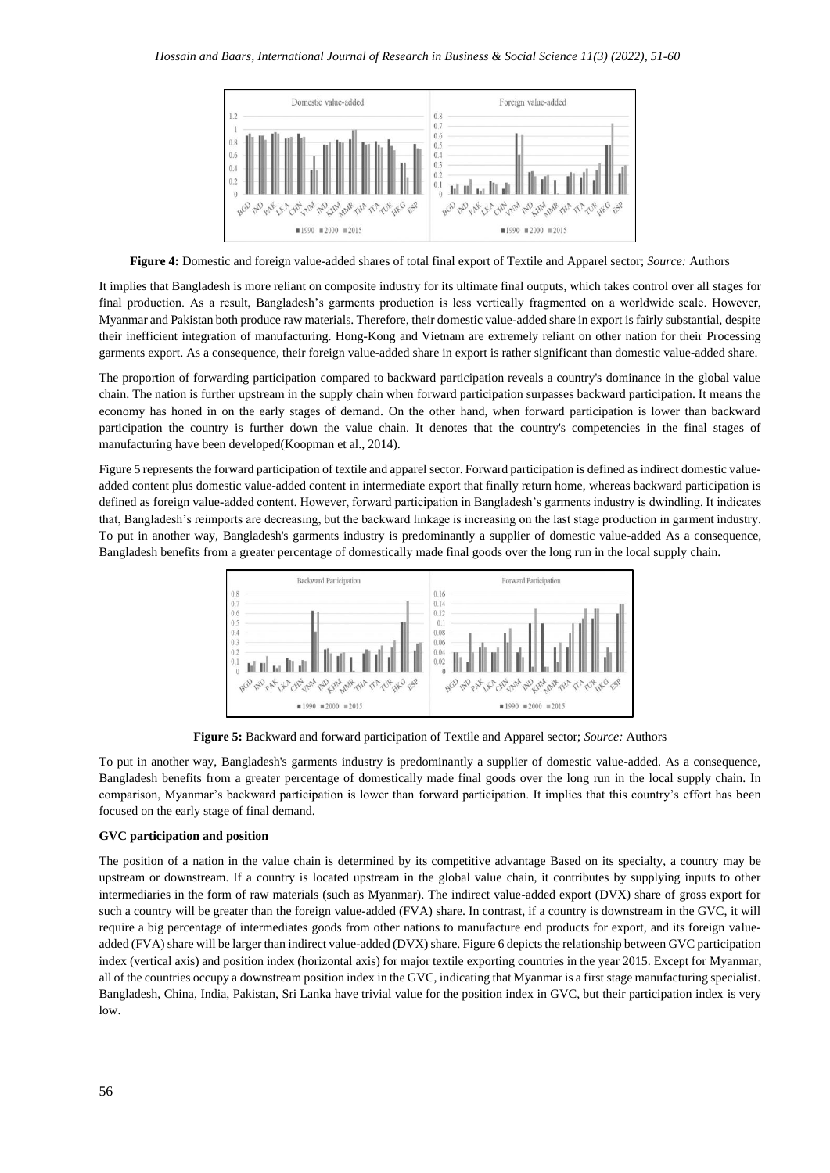

**Figure 4:** Domestic and foreign value-added shares of total final export of Textile and Apparel sector; *Source:* Authors

It implies that Bangladesh is more reliant on composite industry for its ultimate final outputs, which takes control over all stages for final production. As a result, Bangladesh's garments production is less vertically fragmented on a worldwide scale. However, Myanmar and Pakistan both produce raw materials. Therefore, their domestic value-added share in export is fairly substantial, despite their inefficient integration of manufacturing. Hong-Kong and Vietnam are extremely reliant on other nation for their Processing garments export. As a consequence, their foreign value-added share in export is rather significant than domestic value-added share.

The proportion of forwarding participation compared to backward participation reveals a country's dominance in the global value chain. The nation is further upstream in the supply chain when forward participation surpasses backward participation. It means the economy has honed in on the early stages of demand. On the other hand, when forward participation is lower than backward participation the country is further down the value chain. It denotes that the country's competencies in the final stages of manufacturing have been developed(Koopman et al., 2014).

Figure 5 represents the forward participation of textile and apparel sector. Forward participation is defined as indirect domestic valueadded content plus domestic value-added content in intermediate export that finally return home, whereas backward participation is defined as foreign value-added content. However, forward participation in Bangladesh's garments industry is dwindling. It indicates that, Bangladesh's reimports are decreasing, but the backward linkage is increasing on the last stage production in garment industry. To put in another way, Bangladesh's garments industry is predominantly a supplier of domestic value-added As a consequence, Bangladesh benefits from a greater percentage of domestically made final goods over the long run in the local supply chain.



**Figure 5:** Backward and forward participation of Textile and Apparel sector; *Source:* Authors

To put in another way, Bangladesh's garments industry is predominantly a supplier of domestic value-added. As a consequence, Bangladesh benefits from a greater percentage of domestically made final goods over the long run in the local supply chain. In comparison, Myanmar's backward participation is lower than forward participation. It implies that this country's effort has been focused on the early stage of final demand.

#### **GVC participation and position**

The position of a nation in the value chain is determined by its competitive advantage Based on its specialty, a country may be upstream or downstream. If a country is located upstream in the global value chain, it contributes by supplying inputs to other intermediaries in the form of raw materials (such as Myanmar). The indirect value-added export (DVX) share of gross export for such a country will be greater than the foreign value-added (FVA) share. In contrast, if a country is downstream in the GVC, it will require a big percentage of intermediates goods from other nations to manufacture end products for export, and its foreign valueadded (FVA) share will be larger than indirect value-added (DVX) share. Figure 6 depicts the relationship between GVC participation index (vertical axis) and position index (horizontal axis) for major textile exporting countries in the year 2015. Except for Myanmar, all of the countries occupy a downstream position index in the GVC, indicating that Myanmar is a first stage manufacturing specialist. Bangladesh, China, India, Pakistan, Sri Lanka have trivial value for the position index in GVC, but their participation index is very low.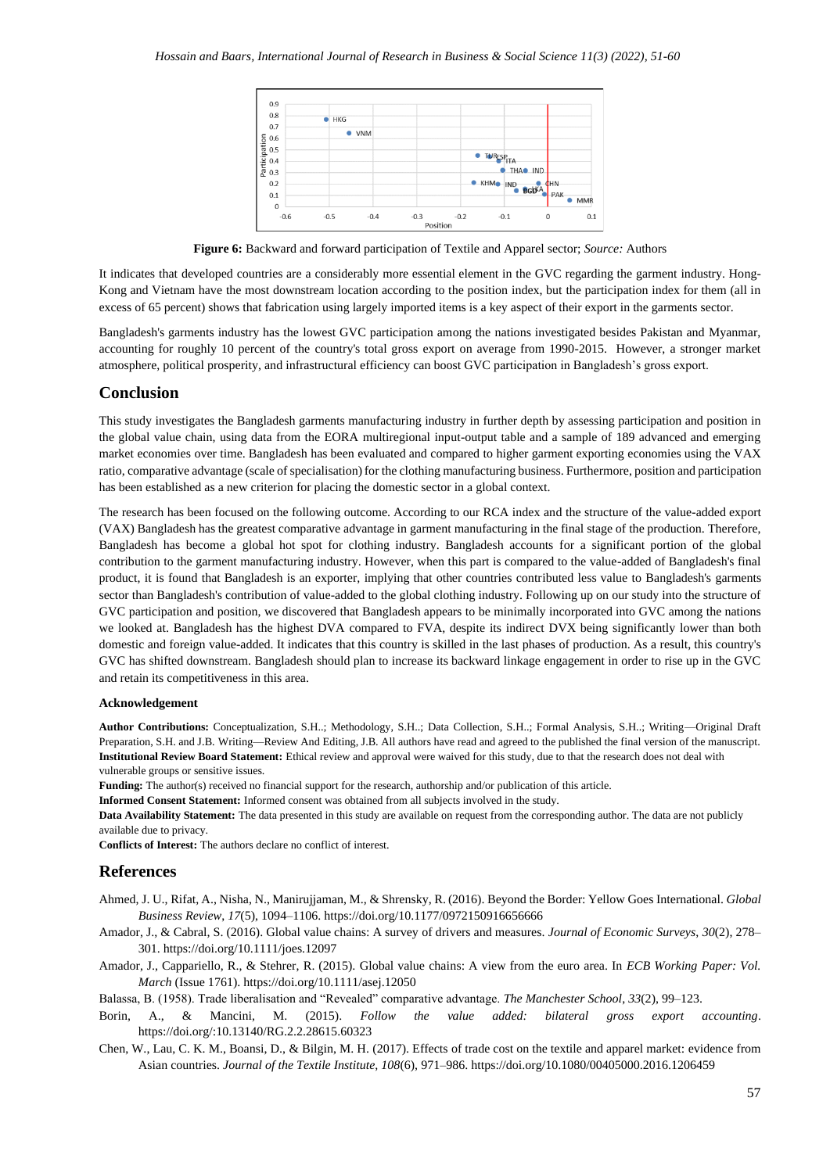

**Figure 6:** Backward and forward participation of Textile and Apparel sector; *Source:* Authors

It indicates that developed countries are a considerably more essential element in the GVC regarding the garment industry. Hong-Kong and Vietnam have the most downstream location according to the position index, but the participation index for them (all in excess of 65 percent) shows that fabrication using largely imported items is a key aspect of their export in the garments sector.

Bangladesh's garments industry has the lowest GVC participation among the nations investigated besides Pakistan and Myanmar, accounting for roughly 10 percent of the country's total gross export on average from 1990-2015. However, a stronger market atmosphere, political prosperity, and infrastructural efficiency can boost GVC participation in Bangladesh's gross export.

# **Conclusion**

This study investigates the Bangladesh garments manufacturing industry in further depth by assessing participation and position in the global value chain, using data from the EORA multiregional input-output table and a sample of 189 advanced and emerging market economies over time. Bangladesh has been evaluated and compared to higher garment exporting economies using the VAX ratio, comparative advantage (scale of specialisation) for the clothing manufacturing business. Furthermore, position and participation has been established as a new criterion for placing the domestic sector in a global context.

The research has been focused on the following outcome. According to our RCA index and the structure of the value-added export (VAX) Bangladesh has the greatest comparative advantage in garment manufacturing in the final stage of the production. Therefore, Bangladesh has become a global hot spot for clothing industry. Bangladesh accounts for a significant portion of the global contribution to the garment manufacturing industry. However, when this part is compared to the value-added of Bangladesh's final product, it is found that Bangladesh is an exporter, implying that other countries contributed less value to Bangladesh's garments sector than Bangladesh's contribution of value-added to the global clothing industry. Following up on our study into the structure of GVC participation and position, we discovered that Bangladesh appears to be minimally incorporated into GVC among the nations we looked at. Bangladesh has the highest DVA compared to FVA, despite its indirect DVX being significantly lower than both domestic and foreign value-added. It indicates that this country is skilled in the last phases of production. As a result, this country's GVC has shifted downstream. Bangladesh should plan to increase its backward linkage engagement in order to rise up in the GVC and retain its competitiveness in this area.

#### **Acknowledgement**

**Author Contributions:** Conceptualization, S.H..; Methodology, S.H..; Data Collection, S.H..; Formal Analysis, S.H..; Writing—Original Draft Preparation, S.H. and J.B. Writing—Review And Editing, J.B. All authors have read and agreed to the published the final version of the manuscript. **Institutional Review Board Statement:** Ethical review and approval were waived for this study, due to that the research does not deal with vulnerable groups or sensitive issues.

**Funding:** The author(s) received no financial support for the research, authorship and/or publication of this article.

**Informed Consent Statement:** Informed consent was obtained from all subjects involved in the study.

**Data Availability Statement:** The data presented in this study are available on request from the corresponding author. The data are not publicly available due to privacy.

**Conflicts of Interest:** The authors declare no conflict of interest.

#### **References**

- Ahmed, J. U., Rifat, A., Nisha, N., Manirujjaman, M., & Shrensky, R. (2016). Beyond the Border: Yellow Goes International. *Global Business Review*, *17*(5), 1094–1106. https://doi.org/10.1177/0972150916656666
- Amador, J., & Cabral, S. (2016). Global value chains: A survey of drivers and measures. *Journal of Economic Surveys*, *30*(2), 278– 301. https://doi.org/10.1111/joes.12097
- Amador, J., Cappariello, R., & Stehrer, R. (2015). Global value chains: A view from the euro area. In *ECB Working Paper: Vol. March* (Issue 1761). https://doi.org/10.1111/asej.12050

Balassa, B. (1958). Trade liberalisation and "Revealed" comparative advantage. *The Manchester School*, *33*(2), 99–123.

- Borin, A., & Mancini, M. (2015). *Follow the value added: bilateral gross export accounting*. https://doi.org/[:10.13140/RG.2.2.28615.60323](http://dx.doi.org/10.13140/RG.2.2.28615.60323)
- Chen, W., Lau, C. K. M., Boansi, D., & Bilgin, M. H. (2017). Effects of trade cost on the textile and apparel market: evidence from Asian countries. *Journal of the Textile Institute*, *108*(6), 971–986. https://doi.org/10.1080/00405000.2016.1206459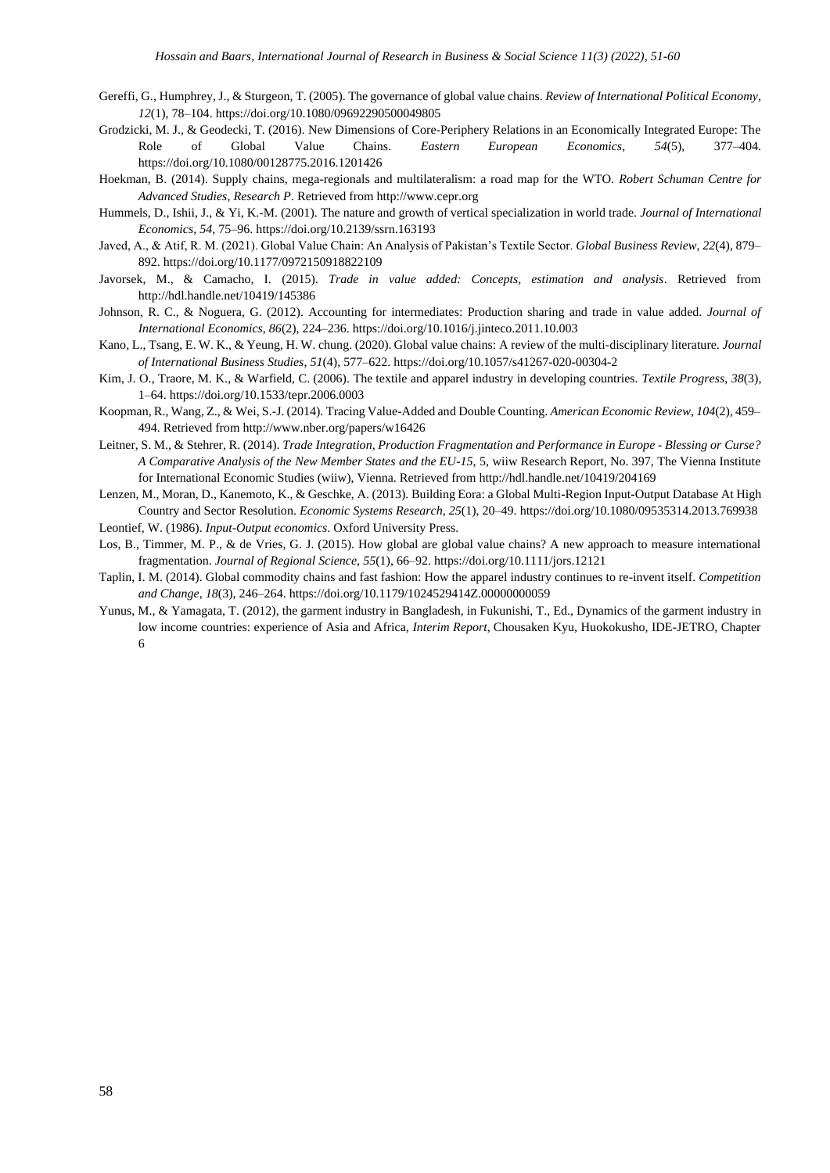- Gereffi, G., Humphrey, J., & Sturgeon, T. (2005). The governance of global value chains. *Review of International Political Economy*, *12*(1), 78–104. https://doi.org/10.1080/09692290500049805
- Grodzicki, M. J., & Geodecki, T. (2016). New Dimensions of Core-Periphery Relations in an Economically Integrated Europe: The Role of Global Value Chains. *Eastern European Economics*, *54*(5), 377–404. https://doi.org/10.1080/00128775.2016.1201426
- Hoekman, B. (2014). Supply chains, mega-regionals and multilateralism: a road map for the WTO. *Robert Schuman Centre for Advanced Studies*, *Research P*. Retrieved from http://www.cepr.org
- Hummels, D., Ishii, J., & Yi, K.-M. (2001). The nature and growth of vertical specialization in world trade. *Journal of International Economics*, *54*, 75–96. https://doi.org/10.2139/ssrn.163193
- Javed, A., & Atif, R. M. (2021). Global Value Chain: An Analysis of Pakistan's Textile Sector. *Global Business Review*, *22*(4), 879– 892. https://doi.org/10.1177/0972150918822109
- Javorsek, M., & Camacho, I. (2015). *Trade in value added: Concepts, estimation and analysis*. Retrieved from http://hdl.handle.net/10419/145386
- Johnson, R. C., & Noguera, G. (2012). Accounting for intermediates: Production sharing and trade in value added. *Journal of International Economics*, *86*(2), 224–236. https://doi.org/10.1016/j.jinteco.2011.10.003
- Kano, L., Tsang, E. W. K., & Yeung, H. W. chung. (2020). Global value chains: A review of the multi-disciplinary literature. *Journal of International Business Studies*, *51*(4), 577–622. https://doi.org/10.1057/s41267-020-00304-2
- Kim, J. O., Traore, M. K., & Warfield, C. (2006). The textile and apparel industry in developing countries. *Textile Progress*, *38*(3), 1–64. https://doi.org/10.1533/tepr.2006.0003
- Koopman, R., Wang, Z., & Wei, S.-J. (2014). Tracing Value-Added and Double Counting. *American Economic Review*, *104*(2), 459– 494. Retrieved from http://www.nber.org/papers/w16426
- Leitner, S. M., & Stehrer, R. (2014). *Trade Integration, Production Fragmentation and Performance in Europe - Blessing or Curse? A Comparative Analysis of the New Member States and the EU-15*, 5, wiiw Research Report, No. 397, The Vienna Institute for International Economic Studies (wiiw), Vienna. Retrieved from http://hdl.handle.net/10419/204169
- Lenzen, M., Moran, D., Kanemoto, K., & Geschke, A. (2013). Building Eora: a Global Multi-Region Input-Output Database At High Country and Sector Resolution. *Economic Systems Research*, *25*(1), 20–49. https://doi.org/10.1080/09535314.2013.769938
- Leontief, W. (1986). *Input-Output economics*. Oxford University Press.
- Los, B., Timmer, M. P., & de Vries, G. J. (2015). How global are global value chains? A new approach to measure international fragmentation. *Journal of Regional Science*, *55*(1), 66–92. https://doi.org/10.1111/jors.12121
- Taplin, I. M. (2014). Global commodity chains and fast fashion: How the apparel industry continues to re-invent itself. *Competition and Change*, *18*(3), 246–264. https://doi.org/10.1179/1024529414Z.00000000059
- Yunus, M., & Yamagata, T. (2012), the garment industry in Bangladesh, in Fukunishi, T., Ed., Dynamics of the garment industry in low income countries: experience of Asia and Africa, *Interim Report*, Chousaken Kyu, Huokokusho, IDE-JETRO, Chapter 6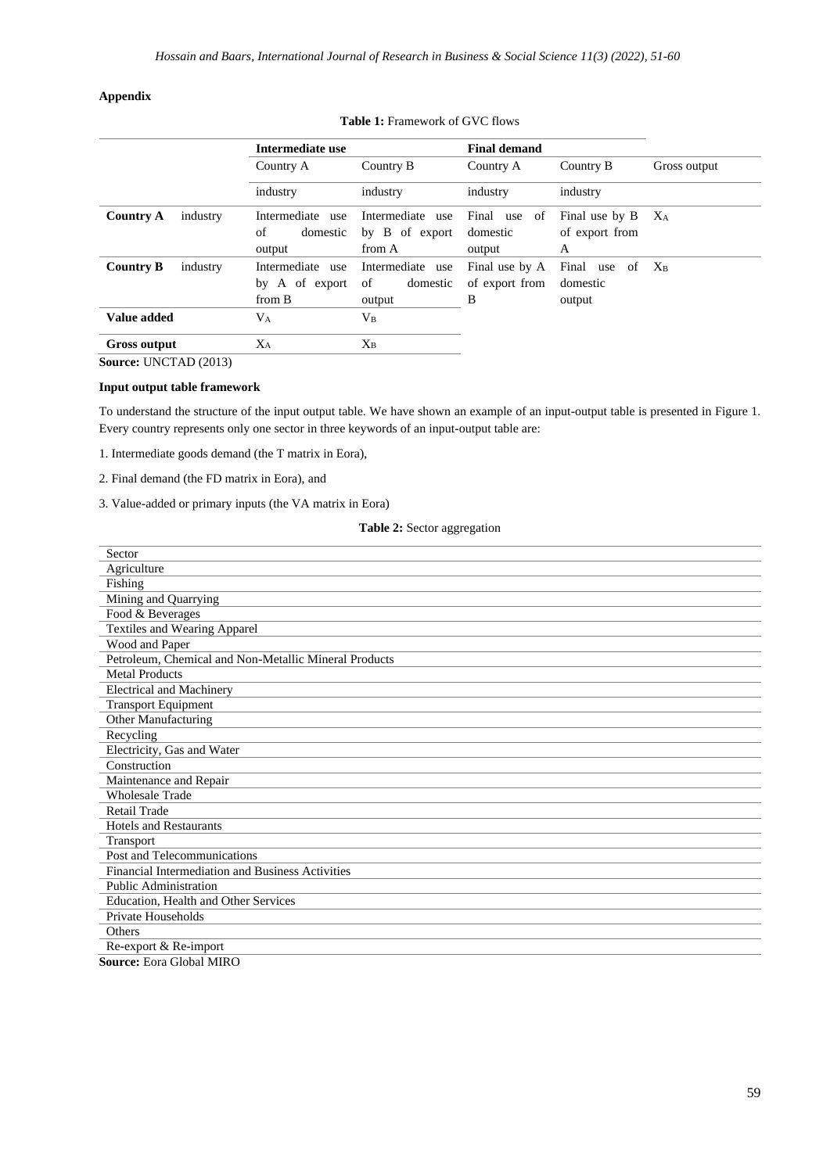### **Appendix**

|                              | Intermediate use                             |                                              | <b>Final demand</b>                   |                                       |              |
|------------------------------|----------------------------------------------|----------------------------------------------|---------------------------------------|---------------------------------------|--------------|
|                              | Country A                                    | Country B                                    | Country A                             | Country B                             | Gross output |
|                              | industry                                     | industry                                     | industry                              | industry                              |              |
| <b>Country A</b><br>industry | Intermediate use<br>of<br>domestic<br>output | Intermediate use<br>by B of export<br>from A | Final use of<br>domestic<br>output    | Final use by B<br>of export from<br>A | $X_A$        |
| <b>Country B</b><br>industry | Intermediate use<br>by A of export<br>from B | Intermediate use<br>domestic<br>of<br>output | Final use by A<br>of export from<br>B | Final use of<br>domestic<br>output    | $X_{B}$      |
| Value added                  | $\rm V_A$                                    | $V_{B}$                                      |                                       |                                       |              |
| <b>Gross output</b>          | $X_A$                                        | $X_{B}$                                      |                                       |                                       |              |

**Table 1:** Framework of GVC flows

**Source:** UNCTAD (2013)

## **Input output table framework**

To understand the structure of the input output table. We have shown an example of an input-output table is presented in Figure 1. Every country represents only one sector in three keywords of an input-output table are:

1. Intermediate goods demand (the T matrix in Eora),

- 2. Final demand (the FD matrix in Eora), and
- 3. Value-added or primary inputs (the VA matrix in Eora)

### **Table 2:** Sector aggregation

| Sector                                                                  |
|-------------------------------------------------------------------------|
| Agriculture                                                             |
| Fishing                                                                 |
| Mining and Quarrying                                                    |
| Food & Beverages                                                        |
| <b>Textiles and Wearing Apparel</b>                                     |
| Wood and Paper                                                          |
| Petroleum, Chemical and Non-Metallic Mineral Products                   |
| <b>Metal Products</b>                                                   |
| <b>Electrical and Machinery</b>                                         |
| <b>Transport Equipment</b>                                              |
| Other Manufacturing                                                     |
| Recycling                                                               |
| Electricity, Gas and Water                                              |
| Construction                                                            |
| Maintenance and Repair                                                  |
| <b>Wholesale Trade</b>                                                  |
| <b>Retail Trade</b>                                                     |
| <b>Hotels and Restaurants</b>                                           |
| Transport                                                               |
| Post and Telecommunications                                             |
| Financial Intermediation and Business Activities                        |
| <b>Public Administration</b>                                            |
| Education, Health and Other Services                                    |
| Private Households                                                      |
| Others                                                                  |
| Re-export & Re-import                                                   |
| $C_{\text{source}}$ $D_{\text{core}}$ $C1$ <sub>r</sub> $1 \text{ MPO}$ |

**Source:** Eora Global MIRO